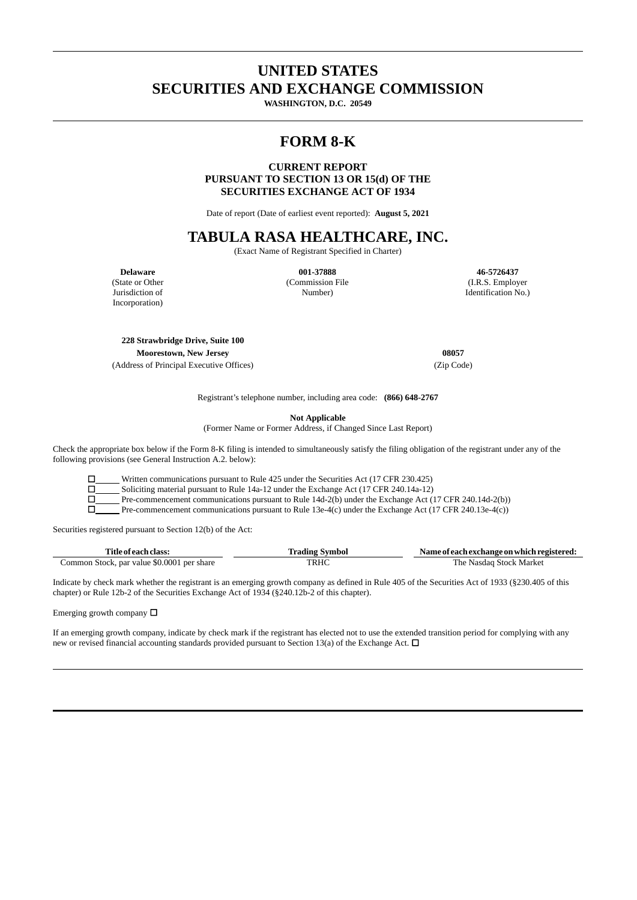# **UNITED STATES SECURITIES AND EXCHANGE COMMISSION**

**WASHINGTON, D.C. 20549**

# **FORM 8-K**

## **CURRENT REPORT PURSUANT TO SECTION 13 OR 15(d) OF THE SECURITIES EXCHANGE ACT OF 1934**

Date of report (Date of earliest event reported): **August 5, 2021**

## **TABULA RASA HEALTHCARE, INC.**

(Exact Name of Registrant Specified in Charter)

**Delaware** (State or Other Jurisdiction of

Incorporation)

**001-37888** (Commission File Number)

**46-5726437** (I.R.S. Employer Identification No.)

**228 Strawbridge Drive, Suite 100 Moorestown, New Jersey 08057**

(Address of Principal Executive Offices) (Zip Code)

Registrant's telephone number, including area code: **(866) 648-2767**

**Not Applicable**

(Former Name or Former Address, if Changed Since Last Report)

Check the appropriate box below if the Form 8-K filing is intended to simultaneously satisfy the filing obligation of the registrant under any of the following provisions (see General Instruction A.2. below):

Written communications pursuant to Rule 425 under the Securities Act (17 CFR 230.425)

 $\Box$  Soliciting material pursuant to Rule 14a-12 under the Exchange Act (17 CFR 240.14a-12) Pre-commencement communications pursuant to Rule 14d-2(b) under the Exchange Act (

 $\Box$  Pre-commencement communications pursuant to Rule 14d-2(b) under the Exchange Act (17 CFR 240.14d-2(b))  $\Pi$ 

Pre-commencement communications pursuant to Rule 13e-4(c) under the Exchange Act (17 CFR 240.13e-4(c))

Securities registered pursuant to Section 12(b) of the Act:

| Title of each class:                       | ∵vmbor | Name of each exchange on which registered: |
|--------------------------------------------|--------|--------------------------------------------|
| Common Stock, par value \$0,0001 per share | TRHC   | -Nasdag Stock Market<br>. he               |

Indicate by check mark whether the registrant is an emerging growth company as defined in Rule 405 of the Securities Act of 1933 (§230.405 of this chapter) or Rule 12b-2 of the Securities Exchange Act of 1934 (§240.12b-2 of this chapter).

Emerging growth company  $\Box$ 

If an emerging growth company, indicate by check mark if the registrant has elected not to use the extended transition period for complying with any new or revised financial accounting standards provided pursuant to Section 13(a) of the Exchange Act.  $\Box$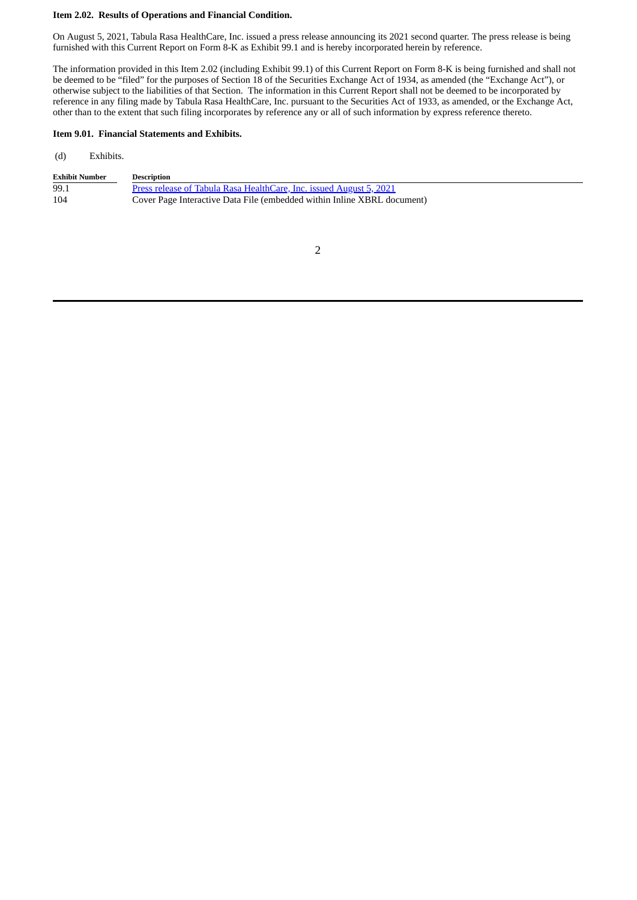## **Item 2.02. Results of Operations and Financial Condition.**

On August 5, 2021, Tabula Rasa HealthCare, Inc. issued a press release announcing its 2021 second quarter. The press release is being furnished with this Current Report on Form 8-K as Exhibit 99.1 and is hereby incorporated herein by reference.

The information provided in this Item 2.02 (including Exhibit 99.1) of this Current Report on Form 8-K is being furnished and shall not be deemed to be "filed" for the purposes of Section 18 of the Securities Exchange Act of 1934, as amended (the "Exchange Act"), or otherwise subject to the liabilities of that Section. The information in this Current Report shall not be deemed to be incorporated by reference in any filing made by Tabula Rasa HealthCare, Inc. pursuant to the Securities Act of 1933, as amended, or the Exchange Act, other than to the extent that such filing incorporates by reference any or all of such information by express reference thereto.

## **Item 9.01. Financial Statements and Exhibits.**

(d) Exhibits.

| <b>Exhibit Number</b> | <b>Description</b>                                                         |
|-----------------------|----------------------------------------------------------------------------|
| 99.1                  | <u>Press release of Tabula Rasa HealthCare, Inc. issued August 5, 2021</u> |
| 104                   | Cover Page Interactive Data File (embedded within Inline XBRL document)    |

#### 2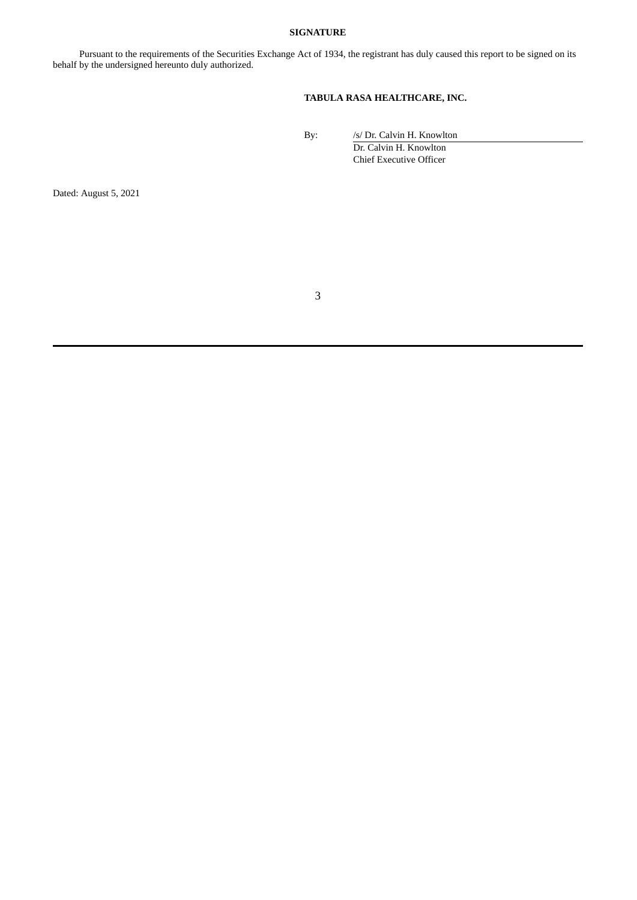## **SIGNATURE**

Pursuant to the requirements of the Securities Exchange Act of 1934, the registrant has duly caused this report to be signed on its behalf by the undersigned hereunto duly authorized.

## **TABULA RASA HEALTHCARE, INC.**

By: /s/ Dr. Calvin H. Knowlton

Dr. Calvin H. Knowlton Chief Executive Officer

Dated: August 5, 2021

3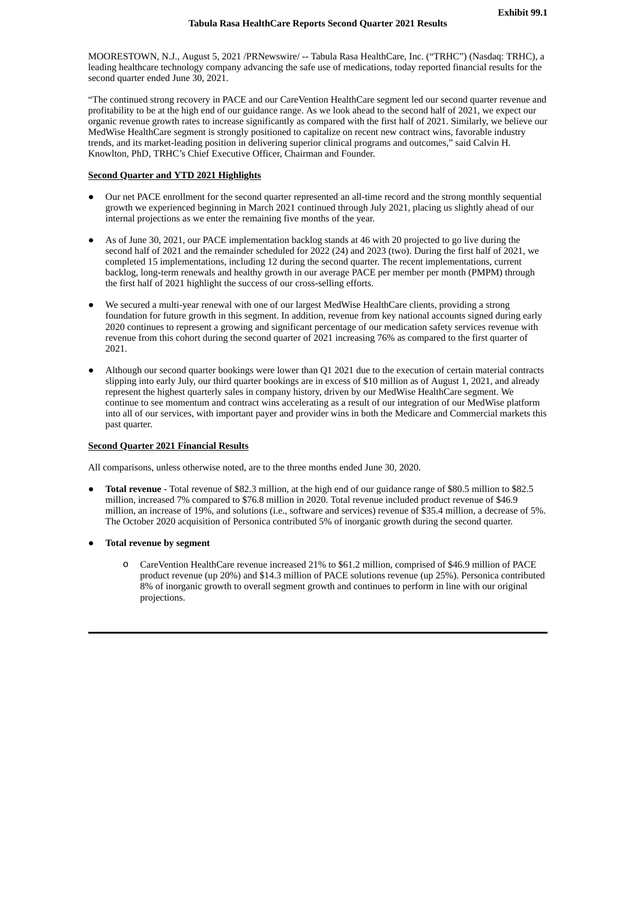<span id="page-3-0"></span>MOORESTOWN, N.J., August 5, 2021 /PRNewswire/ -- Tabula Rasa HealthCare, Inc. ("TRHC") (Nasdaq: TRHC), a leading healthcare technology company advancing the safe use of medications, today reported financial results for the second quarter ended June 30, 2021.

"The continued strong recovery in PACE and our CareVention HealthCare segment led our second quarter revenue and profitability to be at the high end of our guidance range. As we look ahead to the second half of 2021, we expect our organic revenue growth rates to increase significantly as compared with the first half of 2021. Similarly, we believe our MedWise HealthCare segment is strongly positioned to capitalize on recent new contract wins, favorable industry trends, and its market-leading position in delivering superior clinical programs and outcomes," said Calvin H. Knowlton, PhD, TRHC's Chief Executive Officer, Chairman and Founder.

## **Second Quarter and YTD 2021 Highlights**

- Our net PACE enrollment for the second quarter represented an all-time record and the strong monthly sequential growth we experienced beginning in March 2021 continued through July 2021, placing us slightly ahead of our internal projections as we enter the remaining five months of the year.
- As of June 30, 2021, our PACE implementation backlog stands at 46 with 20 projected to go live during the second half of 2021 and the remainder scheduled for 2022 (24) and 2023 (two). During the first half of 2021, we completed 15 implementations, including 12 during the second quarter. The recent implementations, current backlog, long-term renewals and healthy growth in our average PACE per member per month (PMPM) through the first half of 2021 highlight the success of our cross-selling efforts.
- We secured a multi-year renewal with one of our largest MedWise HealthCare clients, providing a strong foundation for future growth in this segment. In addition, revenue from key national accounts signed during early 2020 continues to represent a growing and significant percentage of our medication safety services revenue with revenue from this cohort during the second quarter of 2021 increasing 76% as compared to the first quarter of 2021.
- Although our second quarter bookings were lower than Q1 2021 due to the execution of certain material contracts slipping into early July, our third quarter bookings are in excess of \$10 million as of August 1, 2021, and already represent the highest quarterly sales in company history, driven by our MedWise HealthCare segment. We continue to see momentum and contract wins accelerating as a result of our integration of our MedWise platform into all of our services, with important payer and provider wins in both the Medicare and Commercial markets this past quarter.

#### **Second Quarter 2021 Financial Results**

All comparisons, unless otherwise noted, are to the three months ended June 30, 2020.

- **Total revenue** Total revenue of \$82.3 million, at the high end of our guidance range of \$80.5 million to \$82.5 million, increased 7% compared to \$76.8 million in 2020. Total revenue included product revenue of \$46.9 million, an increase of 19%, and solutions (i.e., software and services) revenue of \$35.4 million, a decrease of 5%. The October 2020 acquisition of Personica contributed 5% of inorganic growth during the second quarter.
- **Total revenue by segment**
	- o CareVention HealthCare revenue increased 21% to \$61.2 million, comprised of \$46.9 million of PACE product revenue (up 20%) and \$14.3 million of PACE solutions revenue (up 25%). Personica contributed 8% of inorganic growth to overall segment growth and continues to perform in line with our original projections.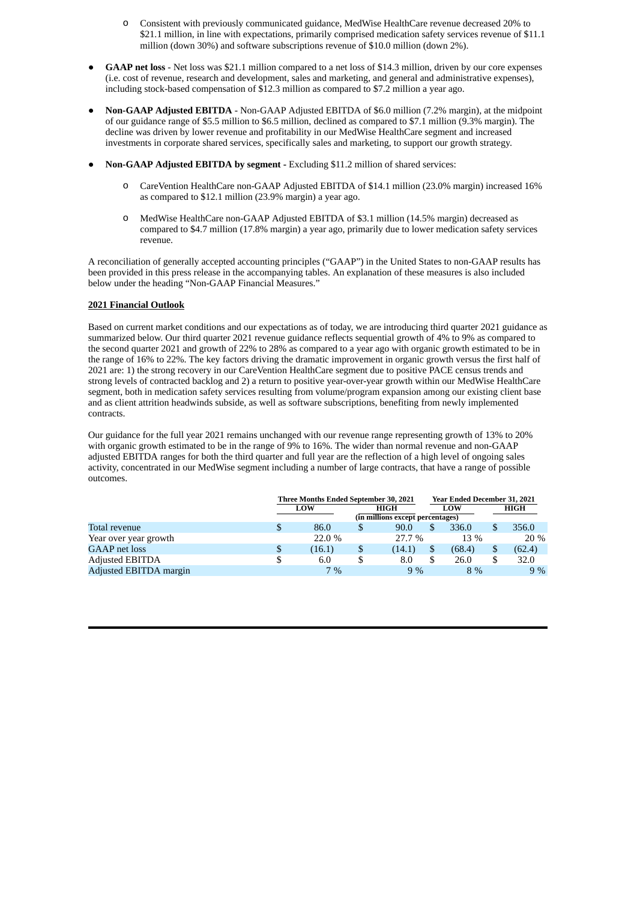- o Consistent with previously communicated guidance, MedWise HealthCare revenue decreased 20% to \$21.1 million, in line with expectations, primarily comprised medication safety services revenue of \$11.1 million (down 30%) and software subscriptions revenue of \$10.0 million (down 2%).
- **GAAP net loss** Net loss was \$21.1 million compared to a net loss of \$14.3 million, driven by our core expenses (i.e. cost of revenue, research and development, sales and marketing, and general and administrative expenses), including stock-based compensation of \$12.3 million as compared to \$7.2 million a year ago.
- **Non-GAAP Adjusted EBITDA** Non-GAAP Adjusted EBITDA of \$6.0 million (7.2% margin), at the midpoint of our guidance range of \$5.5 million to \$6.5 million, declined as compared to \$7.1 million (9.3% margin). The decline was driven by lower revenue and profitability in our MedWise HealthCare segment and increased investments in corporate shared services, specifically sales and marketing, to support our growth strategy.
- **Non-GAAP Adjusted EBITDA by segment -** Excluding \$11.2 million of shared services:
	- o CareVention HealthCare non-GAAP Adjusted EBITDA of \$14.1 million (23.0% margin) increased 16% as compared to \$12.1 million (23.9% margin) a year ago.
	- o MedWise HealthCare non-GAAP Adjusted EBITDA of \$3.1 million (14.5% margin) decreased as compared to \$4.7 million (17.8% margin) a year ago, primarily due to lower medication safety services revenue.

A reconciliation of generally accepted accounting principles ("GAAP") in the United States to non-GAAP results has been provided in this press release in the accompanying tables. An explanation of these measures is also included below under the heading "Non-GAAP Financial Measures."

## **2021 Financial Outlook**

Based on current market conditions and our expectations as of today, we are introducing third quarter 2021 guidance as summarized below. Our third quarter 2021 revenue guidance reflects sequential growth of 4% to 9% as compared to the second quarter 2021 and growth of 22% to 28% as compared to a year ago with organic growth estimated to be in the range of 16% to 22%. The key factors driving the dramatic improvement in organic growth versus the first half of 2021 are: 1) the strong recovery in our CareVention HealthCare segment due to positive PACE census trends and strong levels of contracted backlog and 2) a return to positive year-over-year growth within our MedWise HealthCare segment, both in medication safety services resulting from volume/program expansion among our existing client base and as client attrition headwinds subside, as well as software subscriptions, benefiting from newly implemented contracts.

Our guidance for the full year 2021 remains unchanged with our revenue range representing growth of 13% to 20% with organic growth estimated to be in the range of 9% to 16%. The wider than normal revenue and non-GAAP adjusted EBITDA ranges for both the third quarter and full year are the reflection of a high level of ongoing sales activity, concentrated in our MedWise segment including a number of large contracts, that have a range of possible outcomes.

|                        |                                  | Three Months Ended September 30, 2021 |    |        |    | <b>Year Ended December 31, 2021</b> |    |        |  |  |  |  |  |
|------------------------|----------------------------------|---------------------------------------|----|--------|----|-------------------------------------|----|--------|--|--|--|--|--|
|                        |                                  | LOW                                   |    | HIGH   |    | LOW                                 |    | HIGH   |  |  |  |  |  |
|                        | (in millions except percentages) |                                       |    |        |    |                                     |    |        |  |  |  |  |  |
| Total revenue          |                                  | 86.0                                  | \$ | 90.0   |    | 336.0                               | \$ | 356.0  |  |  |  |  |  |
| Year over year growth  |                                  | 22.0%                                 |    | 27.7 % |    | $13\%$                              |    | 20 %   |  |  |  |  |  |
| <b>GAAP</b> net loss   |                                  | (16.1)                                | \$ | (14.1) | S  | (68.4)                              | \$ | (62.4) |  |  |  |  |  |
| <b>Adjusted EBITDA</b> |                                  | 6.0                                   | \$ | 8.0    | \$ | 26.0                                | \$ | 32.0   |  |  |  |  |  |
| Adjusted EBITDA margin |                                  | $7\%$                                 |    | 9%     |    | $8\%$                               |    | 9%     |  |  |  |  |  |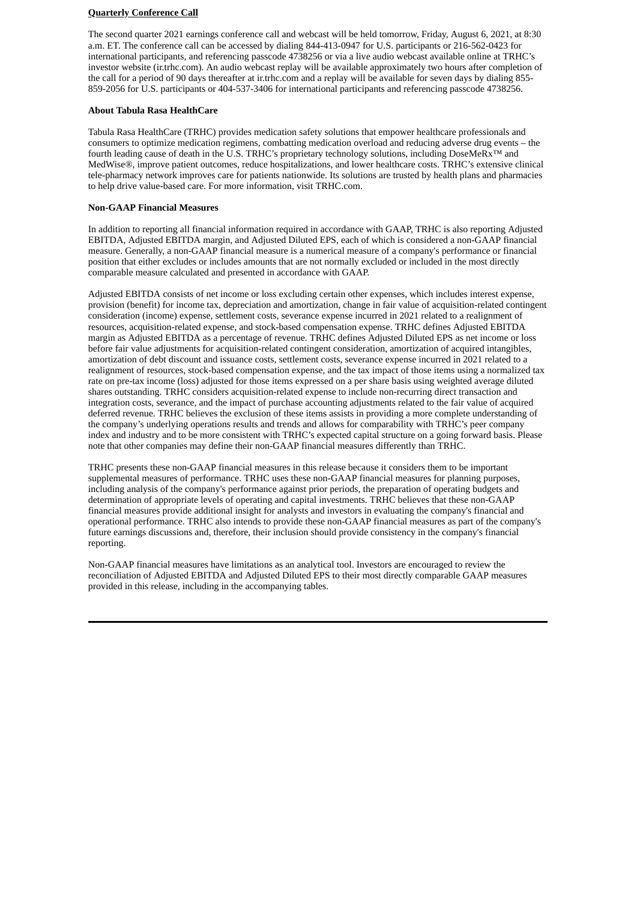## **Quarterly Conference Call**

The second quarter 2021 earnings conference call and webcast will be held tomorrow, Friday, August 6, 2021, at 8:30 a.m. ET. The conference call can be accessed by dialing 844-413-0947 for U.S. participants or 216-562-0423 for international participants, and referencing passcode 4738256 or via a live audio webcast available online at TRHC's investor website (ir.trhc.com). An audio webcast replay will be available approximately two hours after completion of the call for a period of 90 days thereafter at ir.trhc.com and a replay will be available for seven days by dialing 855- 859-2056 for U.S. participants or 404-537-3406 for international participants and referencing passcode 4738256.

#### **About Tabula Rasa HealthCare**

Tabula Rasa HealthCare (TRHC) provides medication safety solutions that empower healthcare professionals and consumers to optimize medication regimens, combatting medication overload and reducing adverse drug events – the fourth leading cause of death in the U.S. TRHC's proprietary technology solutions, including DoseMeRx™ and MedWise®, improve patient outcomes, reduce hospitalizations, and lower healthcare costs. TRHC's extensive clinical tele-pharmacy network improves care for patients nationwide. Its solutions are trusted by health plans and pharmacies to help drive value-based care. For more information, visit TRHC.com.

#### **Non-GAAP Financial Measures**

In addition to reporting all financial information required in accordance with GAAP, TRHC is also reporting Adjusted EBITDA, Adjusted EBITDA margin, and Adjusted Diluted EPS, each of which is considered a non-GAAP financial measure. Generally, a non-GAAP financial measure is a numerical measure of a company's performance or financial position that either excludes or includes amounts that are not normally excluded or included in the most directly comparable measure calculated and presented in accordance with GAAP.

Adjusted EBITDA consists of net income or loss excluding certain other expenses, which includes interest expense, provision (benefit) for income tax, depreciation and amortization, change in fair value of acquisition-related contingent consideration (income) expense, settlement costs, severance expense incurred in 2021 related to a realignment of resources, acquisition-related expense, and stock-based compensation expense. TRHC defines Adjusted EBITDA margin as Adjusted EBITDA as a percentage of revenue. TRHC defines Adjusted Diluted EPS as net income or loss before fair value adjustments for acquisition-related contingent consideration, amortization of acquired intangibles, amortization of debt discount and issuance costs, settlement costs, severance expense incurred in 2021 related to a realignment of resources, stock-based compensation expense, and the tax impact of those items using a normalized tax rate on pre-tax income (loss) adjusted for those items expressed on a per share basis using weighted average diluted shares outstanding. TRHC considers acquisition-related expense to include non-recurring direct transaction and integration costs, severance, and the impact of purchase accounting adjustments related to the fair value of acquired deferred revenue. TRHC believes the exclusion of these items assists in providing a more complete understanding of the company's underlying operations results and trends and allows for comparability with TRHC's peer company index and industry and to be more consistent with TRHC's expected capital structure on a going forward basis. Please note that other companies may define their non-GAAP financial measures differently than TRHC.

TRHC presents these non-GAAP financial measures in this release because it considers them to be important supplemental measures of performance. TRHC uses these non-GAAP financial measures for planning purposes, including analysis of the company's performance against prior periods, the preparation of operating budgets and determination of appropriate levels of operating and capital investments. TRHC believes that these non-GAAP financial measures provide additional insight for analysts and investors in evaluating the company's financial and operational performance. TRHC also intends to provide these non-GAAP financial measures as part of the company's future earnings discussions and, therefore, their inclusion should provide consistency in the company's financial reporting.

Non-GAAP financial measures have limitations as an analytical tool. Investors are encouraged to review the reconciliation of Adjusted EBITDA and Adjusted Diluted EPS to their most directly comparable GAAP measures provided in this release, including in the accompanying tables.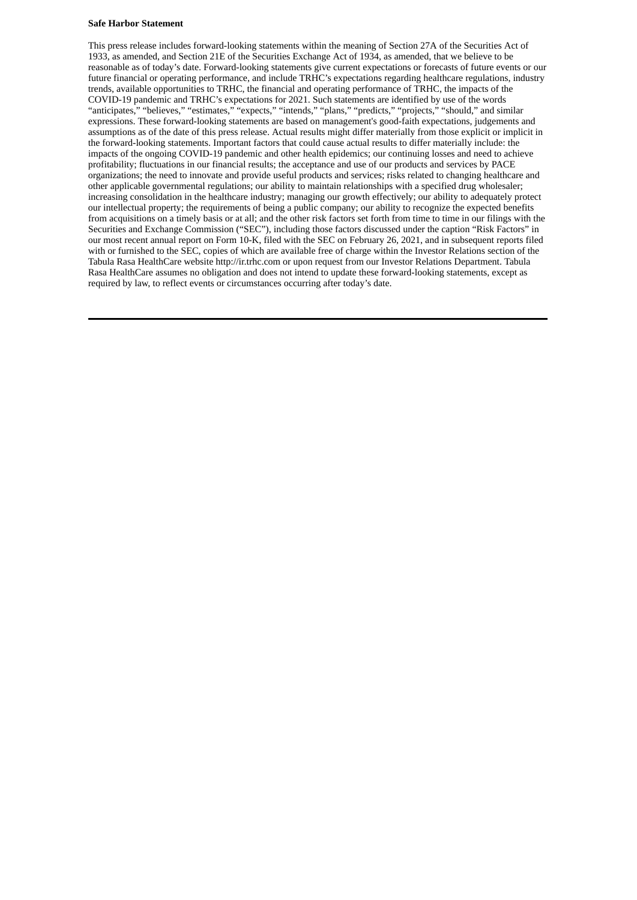#### **Safe Harbor Statement**

This press release includes forward-looking statements within the meaning of Section 27A of the Securities Act of 1933, as amended, and Section 21E of the Securities Exchange Act of 1934, as amended, that we believe to be reasonable as of today's date. Forward-looking statements give current expectations or forecasts of future events or our future financial or operating performance, and include TRHC's expectations regarding healthcare regulations, industry trends, available opportunities to TRHC, the financial and operating performance of TRHC, the impacts of the COVID-19 pandemic and TRHC's expectations for 2021. Such statements are identified by use of the words "anticipates," "believes," "estimates," "expects," "intends," "plans," "predicts," "projects," "should," and similar expressions. These forward-looking statements are based on management's good-faith expectations, judgements and assumptions as of the date of this press release. Actual results might differ materially from those explicit or implicit in the forward-looking statements. Important factors that could cause actual results to differ materially include: the impacts of the ongoing COVID-19 pandemic and other health epidemics; our continuing losses and need to achieve profitability; fluctuations in our financial results; the acceptance and use of our products and services by PACE organizations; the need to innovate and provide useful products and services; risks related to changing healthcare and other applicable governmental regulations; our ability to maintain relationships with a specified drug wholesaler; increasing consolidation in the healthcare industry; managing our growth effectively; our ability to adequately protect our intellectual property; the requirements of being a public company; our ability to recognize the expected benefits from acquisitions on a timely basis or at all; and the other risk factors set forth from time to time in our filings with the Securities and Exchange Commission ("SEC"), including those factors discussed under the caption "Risk Factors" in our most recent annual report on Form 10-K, filed with the SEC on February 26, 2021, and in subsequent reports filed with or furnished to the SEC, copies of which are available free of charge within the Investor Relations section of the Tabula Rasa HealthCare website http://ir.trhc.com or upon request from our Investor Relations Department. Tabula Rasa HealthCare assumes no obligation and does not intend to update these forward-looking statements, except as required by law, to reflect events or circumstances occurring after today's date.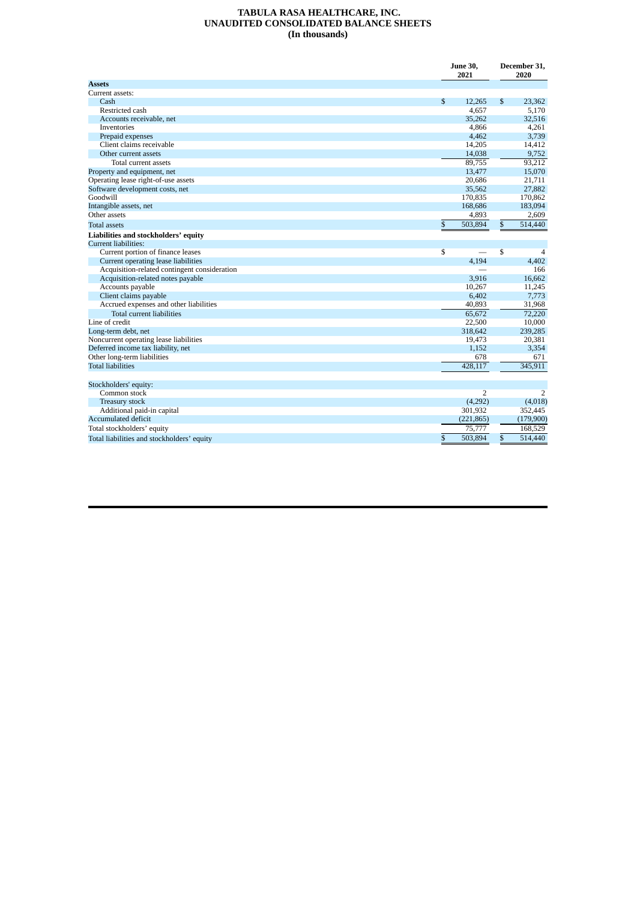#### **TABULA RASA HEALTHCARE, INC. UNAUDITED CONSOLIDATED BALANCE SHEETS (In thousands)**

|                                              |              | <b>June 30,</b><br>2021 |                         | December 31,<br>2020 |
|----------------------------------------------|--------------|-------------------------|-------------------------|----------------------|
| <b>Assets</b>                                |              |                         |                         |                      |
| Current assets:                              |              |                         |                         |                      |
| Cash                                         | $\mathbb{S}$ | 12,265                  | $\mathbb{S}$            | 23,362               |
| Restricted cash                              |              | 4,657                   |                         | 5,170                |
| Accounts receivable, net                     |              | 35,262                  |                         | 32,516               |
| Inventories                                  |              | 4,866                   |                         | 4,261                |
| Prepaid expenses                             |              | 4,462                   |                         | 3,739                |
| Client claims receivable                     |              | 14,205                  |                         | 14,412               |
| Other current assets                         |              | 14,038                  |                         | 9,752                |
| Total current assets                         |              | 89,755                  |                         | 93,212               |
| Property and equipment, net                  |              | 13,477                  |                         | 15,070               |
| Operating lease right-of-use assets          |              | 20,686                  |                         | 21,711               |
| Software development costs, net              |              | 35,562                  |                         | 27,882               |
| Goodwill                                     |              | 170,835                 |                         | 170,862              |
| Intangible assets, net                       |              | 168,686                 |                         | 183,094              |
| Other assets                                 |              | 4,893                   |                         | 2,609                |
| <b>Total assets</b>                          | \$           | 503,894                 | $\overline{\mathbb{S}}$ | 514,440              |
| Liabilities and stockholders' equity         |              |                         |                         |                      |
| Current liabilities:                         |              |                         |                         |                      |
| Current portion of finance leases            | \$           |                         | \$                      | 4                    |
| Current operating lease liabilities          |              | 4.194                   |                         | 4,402                |
| Acquisition-related contingent consideration |              |                         |                         | 166                  |
| Acquisition-related notes payable            |              | 3,916                   |                         | 16,662               |
| Accounts payable                             |              | 10,267                  |                         | 11,245               |
| Client claims payable                        |              | 6,402                   |                         | 7,773                |
| Accrued expenses and other liabilities       |              | 40,893                  |                         | 31,968               |
| Total current liabilities                    |              | 65,672                  |                         | 72,220               |
| Line of credit                               |              | 22,500                  |                         | 10,000               |
| Long-term debt, net                          |              | 318,642                 |                         | 239,285              |
| Noncurrent operating lease liabilities       |              | 19,473                  |                         | 20,381               |
| Deferred income tax liability, net           |              | 1,152                   |                         | 3,354                |
| Other long-term liabilities                  |              | 678                     |                         | 671                  |
| <b>Total liabilities</b>                     |              | 428,117                 |                         | 345.911              |
|                                              |              |                         |                         |                      |
| Stockholders' equity:                        |              |                         |                         |                      |
| Common stock                                 |              | $\overline{2}$          |                         | $\overline{2}$       |
| Treasury stock                               |              | (4,292)                 |                         | (4,018)              |
| Additional paid-in capital                   |              | 301,932                 |                         | 352,445              |
| Accumulated deficit                          |              | (221, 865)              |                         | (179,900)            |
| Total stockholders' equity                   |              | 75.777                  |                         | 168,529              |
| Total liabilities and stockholders' equity   | \$           | 503,894                 | \$                      | 514,440              |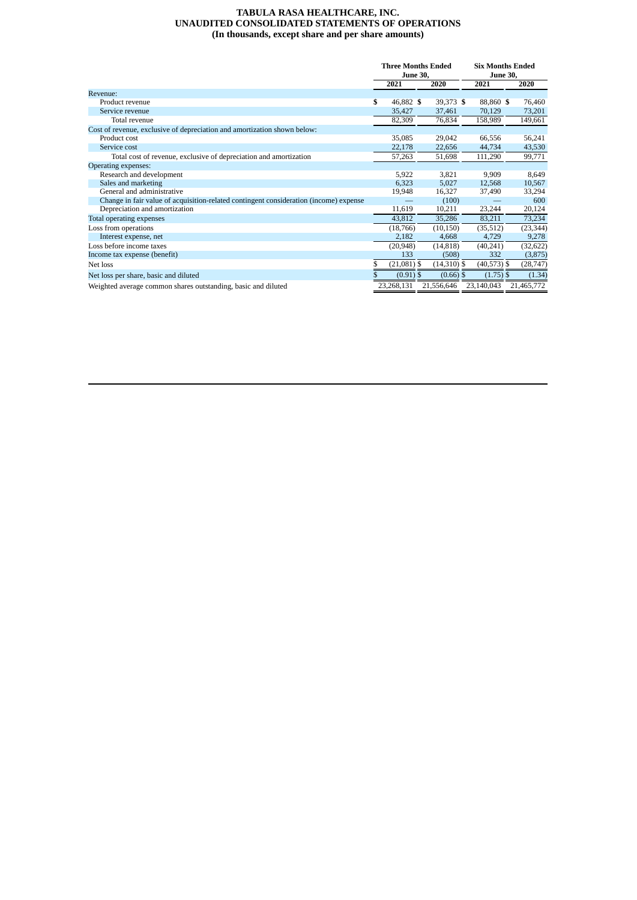#### **TABULA RASA HEALTHCARE, INC. UNAUDITED CONSOLIDATED STATEMENTS OF OPERATIONS (In thousands, except share and per share amounts)**

|                                                                                       | <b>Three Months Ended</b><br><b>June 30,</b> |               |  |               | <b>Six Months Ended</b><br><b>June 30,</b> |               |  |            |
|---------------------------------------------------------------------------------------|----------------------------------------------|---------------|--|---------------|--------------------------------------------|---------------|--|------------|
|                                                                                       |                                              | 2021          |  | 2020          | 2021                                       |               |  | 2020       |
| Revenue:                                                                              |                                              |               |  |               |                                            |               |  |            |
| Product revenue                                                                       | \$                                           | 46,882 \$     |  | 39,373 \$     |                                            | 88,860 \$     |  | 76,460     |
| Service revenue                                                                       |                                              | 35,427        |  | 37,461        |                                            | 70,129        |  | 73,201     |
| Total revenue                                                                         |                                              | 82,309        |  | 76,834        |                                            | 158,989       |  | 149,661    |
| Cost of revenue, exclusive of depreciation and amortization shown below:              |                                              |               |  |               |                                            |               |  |            |
| Product cost                                                                          |                                              | 35,085        |  | 29,042        |                                            | 66,556        |  | 56,241     |
| Service cost                                                                          |                                              | 22,178        |  | 22,656        |                                            | 44,734        |  | 43,530     |
| Total cost of revenue, exclusive of depreciation and amortization                     |                                              | 57,263        |  | 51,698        |                                            | 111,290       |  | 99,771     |
| Operating expenses:                                                                   |                                              |               |  |               |                                            |               |  |            |
| Research and development                                                              |                                              | 5,922         |  | 3,821         |                                            | 9,909         |  | 8,649      |
| Sales and marketing                                                                   |                                              | 6,323         |  | 5,027         |                                            | 12,568        |  | 10,567     |
| General and administrative                                                            |                                              | 19,948        |  | 16,327        |                                            | 37,490        |  | 33,294     |
| Change in fair value of acquisition-related contingent consideration (income) expense |                                              |               |  | (100)         |                                            |               |  | 600        |
| Depreciation and amortization                                                         |                                              | 11,619        |  | 10,211        |                                            | 23,244        |  | 20,124     |
| Total operating expenses                                                              |                                              | 43,812        |  | 35,286        |                                            | 83,211        |  | 73,234     |
| Loss from operations                                                                  |                                              | (18, 766)     |  | (10, 150)     |                                            | (35, 512)     |  | (23, 344)  |
| Interest expense, net                                                                 |                                              | 2,182         |  | 4,668         |                                            | 4,729         |  | 9,278      |
| Loss before income taxes                                                              |                                              | (20, 948)     |  | (14, 818)     |                                            | (40,241)      |  | (32, 622)  |
| Income tax expense (benefit)                                                          |                                              | 133           |  | (508)         |                                            | 332           |  | (3, 875)   |
| Net loss                                                                              |                                              | $(21,081)$ \$ |  | $(14,310)$ \$ |                                            | $(40,573)$ \$ |  | (28, 747)  |
| Net loss per share, basic and diluted                                                 |                                              | $(0.91)$ \$   |  | $(0.66)$ \$   |                                            | $(1.75)$ \$   |  | (1.34)     |
| Weighted average common shares outstanding, basic and diluted                         |                                              | 23,268,131    |  | 21,556,646    |                                            | 23,140,043    |  | 21,465,772 |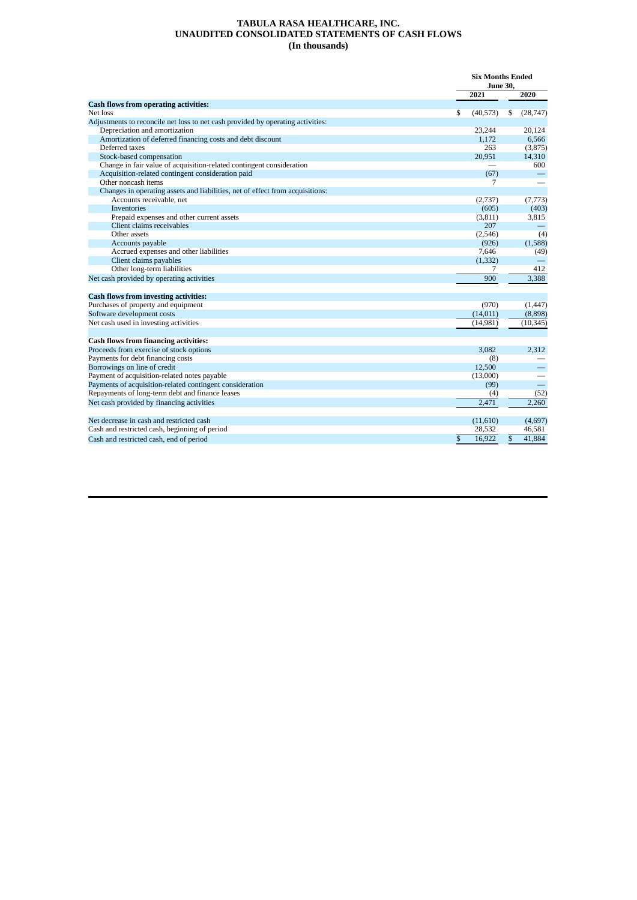#### **TABULA RASA HEALTHCARE, INC. UNAUDITED CONSOLIDATED STATEMENTS OF CASH FLOWS (In thousands)**

|                                                                                 | <b>Six Months Ended</b><br><b>June 30.</b> |                         |           |  |  |
|---------------------------------------------------------------------------------|--------------------------------------------|-------------------------|-----------|--|--|
|                                                                                 | 2021                                       |                         | 2020      |  |  |
| <b>Cash flows from operating activities:</b>                                    |                                            |                         |           |  |  |
| Net loss                                                                        | \$<br>(40, 573)                            | \$                      | (28, 747) |  |  |
| Adjustments to reconcile net loss to net cash provided by operating activities: |                                            |                         |           |  |  |
| Depreciation and amortization                                                   | 23,244                                     |                         | 20,124    |  |  |
| Amortization of deferred financing costs and debt discount                      | 1,172                                      |                         | 6,566     |  |  |
| Deferred taxes                                                                  | 263                                        |                         | (3, 875)  |  |  |
| Stock-based compensation                                                        | 20,951                                     |                         | 14,310    |  |  |
| Change in fair value of acquisition-related contingent consideration            |                                            |                         | 600       |  |  |
| Acquisition-related contingent consideration paid                               | (67)                                       |                         |           |  |  |
| Other noncash items                                                             | 7                                          |                         |           |  |  |
| Changes in operating assets and liabilities, net of effect from acquisitions:   |                                            |                         |           |  |  |
| Accounts receivable, net                                                        | (2,737)                                    |                         | (7,773)   |  |  |
| Inventories                                                                     | (605)                                      |                         | (403)     |  |  |
| Prepaid expenses and other current assets                                       | (3,811)                                    |                         | 3,815     |  |  |
| Client claims receivables                                                       | 207                                        |                         |           |  |  |
| Other assets                                                                    | (2,546)                                    |                         | (4)       |  |  |
| Accounts payable                                                                | (926)                                      |                         | (1,588)   |  |  |
| Accrued expenses and other liabilities                                          | 7.646                                      |                         | (49)      |  |  |
| Client claims payables                                                          | (1, 332)                                   |                         |           |  |  |
| Other long-term liabilities                                                     | 7                                          |                         | 412       |  |  |
| Net cash provided by operating activities                                       | 900                                        |                         | 3,388     |  |  |
| <b>Cash flows from investing activities:</b>                                    |                                            |                         |           |  |  |
| Purchases of property and equipment                                             | (970)                                      |                         | (1, 447)  |  |  |
| Software development costs                                                      | (14, 011)                                  |                         | (8,898)   |  |  |
| Net cash used in investing activities                                           | (14, 981)                                  |                         | (10, 345) |  |  |
| <b>Cash flows from financing activities:</b>                                    |                                            |                         |           |  |  |
| Proceeds from exercise of stock options                                         | 3.082                                      |                         | 2,312     |  |  |
| Payments for debt financing costs                                               | (8)                                        |                         |           |  |  |
| Borrowings on line of credit                                                    | 12,500                                     |                         |           |  |  |
| Payment of acquisition-related notes payable                                    | (13,000)                                   |                         |           |  |  |
| Payments of acquisition-related contingent consideration                        | (99)                                       |                         |           |  |  |
| Repayments of long-term debt and finance leases                                 | (4)                                        |                         | (52)      |  |  |
| Net cash provided by financing activities                                       | 2.471                                      |                         | 2.260     |  |  |
| Net decrease in cash and restricted cash                                        | (11,610)                                   |                         | (4,697)   |  |  |
| Cash and restricted cash, beginning of period                                   | 28,532                                     |                         | 46,581    |  |  |
| Cash and restricted cash, end of period                                         | \$<br>16,922                               | $\overline{\mathbb{S}}$ | 41,884    |  |  |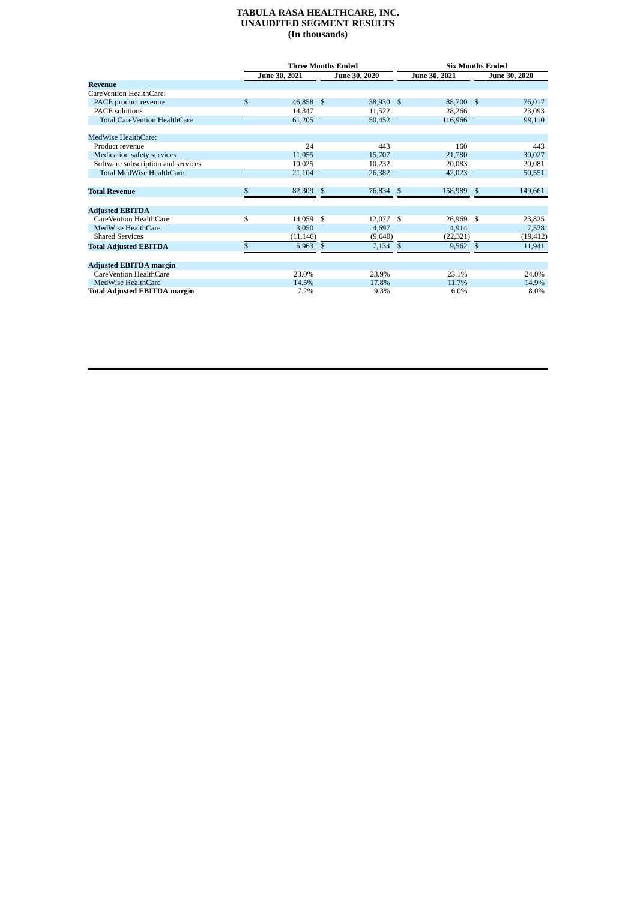#### **TABULA RASA HEALTHCARE, INC. UNAUDITED SEGMENT RESULTS (In thousands)**

|                                     | <b>Three Months Ended</b> |                      |           |               |           | <b>Six Months Ended</b> |           |  |
|-------------------------------------|---------------------------|----------------------|-----------|---------------|-----------|-------------------------|-----------|--|
|                                     | June 30, 2021             | <b>June 30, 2020</b> |           | June 30, 2021 |           | <b>June 30, 2020</b>    |           |  |
| <b>Revenue</b>                      |                           |                      |           |               |           |                         |           |  |
| CareVention HealthCare:             |                           |                      |           |               |           |                         |           |  |
| PACE product revenue                | \$<br>46,858 \$           |                      | 38,930 \$ |               | 88,700 \$ |                         | 76,017    |  |
| <b>PACE</b> solutions               | 14,347                    |                      | 11,522    |               | 28.266    |                         | 23,093    |  |
| <b>Total CareVention HealthCare</b> | 61,205                    |                      | 50,452    |               | 116,966   |                         | 99,110    |  |
| MedWise HealthCare:                 |                           |                      |           |               |           |                         |           |  |
| Product revenue                     | 24                        |                      | 443       |               | 160       |                         | 443       |  |
| Medication safety services          | 11,055                    |                      | 15,707    |               | 21,780    |                         | 30,027    |  |
| Software subscription and services  | 10,025                    |                      | 10,232    |               | 20,083    |                         | 20,081    |  |
| <b>Total MedWise HealthCare</b>     | 21,104                    |                      | 26,382    |               | 42,023    |                         | 50,551    |  |
| <b>Total Revenue</b>                | \$<br>82,309              | $\mathfrak{s}$       | 76,834    | <sup>\$</sup> | 158,989   | \$                      | 149,661   |  |
| <b>Adjusted EBITDA</b>              |                           |                      |           |               |           |                         |           |  |
| CareVention HealthCare              | \$<br>14,059 \$           |                      | 12,077 \$ |               | 26.969 \$ |                         | 23,825    |  |
| MedWise HealthCare                  | 3,050                     |                      | 4,697     |               | 4,914     |                         | 7,528     |  |
| <b>Shared Services</b>              | (11, 146)                 |                      | (9,640)   |               | (22, 321) |                         | (19, 412) |  |
| <b>Total Adjusted EBITDA</b>        | \$<br>$5,963$ \$          |                      | 7,134     | - \$          | 9,562     | $\mathbb{S}$            | 11,941    |  |
| <b>Adjusted EBITDA margin</b>       |                           |                      |           |               |           |                         |           |  |
| CareVention HealthCare              | 23.0%                     |                      | 23.9%     |               | 23.1%     |                         | 24.0%     |  |
| MedWise HealthCare                  | 14.5%                     |                      | 17.8%     |               | 11.7%     |                         | 14.9%     |  |
| <b>Total Adjusted EBITDA margin</b> | 7.2%                      |                      | 9.3%      |               | 6.0%      |                         | 8.0%      |  |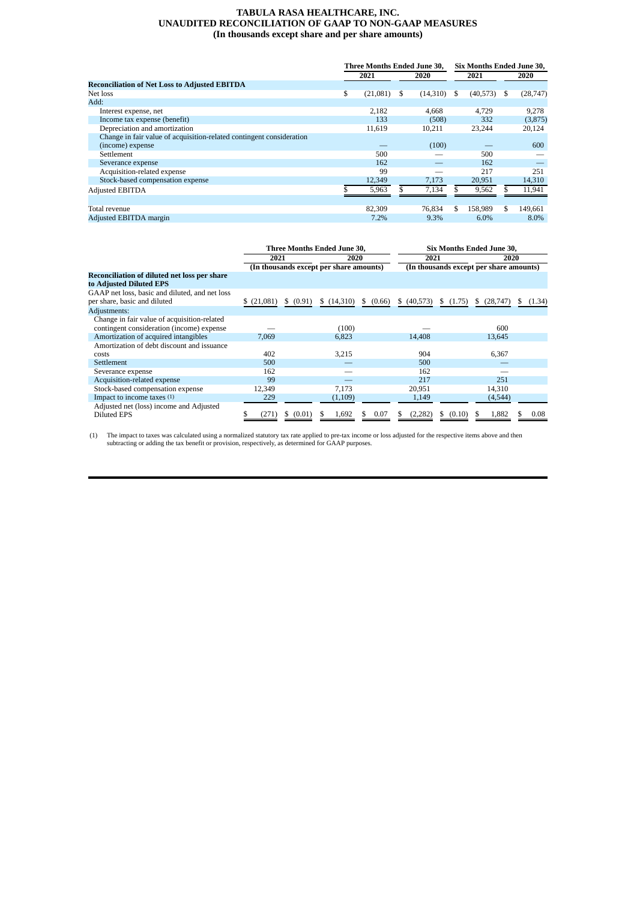#### **TABULA RASA HEALTHCARE, INC. UNAUDITED RECONCILIATION OF GAAP TO NON-GAAP MEASURES (In thousands except share and per share amounts)**

|                                                                      | Three Months Ended June 30, |          |   |               |     |               | Six Months Ended June 30, |           |  |
|----------------------------------------------------------------------|-----------------------------|----------|---|---------------|-----|---------------|---------------------------|-----------|--|
|                                                                      | 2021                        |          |   | 2020          |     | 2021          |                           | 2020      |  |
| <b>Reconciliation of Net Loss to Adjusted EBITDA</b>                 |                             |          |   |               |     |               |                           |           |  |
| Net loss                                                             | \$                          | (21,081) | S | $(14,310)$ \$ |     | $(40,573)$ \$ |                           | (28, 747) |  |
| Add:                                                                 |                             |          |   |               |     |               |                           |           |  |
| Interest expense, net                                                |                             | 2.182    |   | 4.668         |     | 4,729         |                           | 9,278     |  |
| Income tax expense (benefit)                                         |                             | 133      |   | (508)         |     | 332           |                           | (3,875)   |  |
| Depreciation and amortization                                        |                             | 11,619   |   | 10,211        |     | 23,244        |                           | 20,124    |  |
| Change in fair value of acquisition-related contingent consideration |                             |          |   |               |     |               |                           |           |  |
| (income) expense                                                     |                             |          |   | (100)         |     |               |                           | 600       |  |
| Settlement                                                           |                             | 500      |   |               |     | 500           |                           |           |  |
| Severance expense                                                    |                             | 162      |   |               |     | 162           |                           |           |  |
| Acquisition-related expense                                          |                             | 99       |   |               |     | 217           |                           | 251       |  |
| Stock-based compensation expense                                     |                             | 12,349   |   | 7,173         |     | 20,951        |                           | 14,310    |  |
| <b>Adjusted EBITDA</b>                                               |                             | 5,963    |   | 7,134         |     | 9,562         |                           | 11,941    |  |
|                                                                      |                             |          |   |               |     |               |                           |           |  |
| Total revenue                                                        |                             | 82,309   |   | 76.834        | \$. | 158,989       | \$                        | 149,661   |  |
| Adjusted EBITDA margin                                               |                             | 7.2%     |   | 9.3%          |     | $6.0\%$       |                           | 8.0%      |  |

|                                                                                          |            |                                                                 | <b>Three Months Ended June 30,</b> |           | <b>Six Months Ended June 30,</b>                |              |                 |              |
|------------------------------------------------------------------------------------------|------------|-----------------------------------------------------------------|------------------------------------|-----------|-------------------------------------------------|--------------|-----------------|--------------|
|                                                                                          |            | 2021<br>2021<br>2020<br>(In thousands except per share amounts) |                                    |           | 2020<br>(In thousands except per share amounts) |              |                 |              |
| Reconciliation of diluted net loss per share<br>to Adjusted Diluted EPS                  |            |                                                                 |                                    |           |                                                 |              |                 |              |
| GAAP net loss, basic and diluted, and net loss<br>per share, basic and diluted           | \$(21,081) | \$ (0.91)                                                       | (14,310)                           | \$ (0.66) | \$ (40,573)                                     | (1.75)       | (28, 747)<br>S. | (1.34)<br>S. |
| Adjustments:                                                                             |            |                                                                 |                                    |           |                                                 |              |                 |              |
| Change in fair value of acquisition-related<br>contingent consideration (income) expense |            |                                                                 | (100)                              |           |                                                 |              | 600             |              |
| Amortization of acquired intangibles                                                     | 7,069      |                                                                 | 6,823                              |           | 14,408                                          |              | 13,645          |              |
| Amortization of debt discount and issuance<br>costs                                      | 402        |                                                                 | 3,215                              |           | 904                                             |              | 6,367           |              |
| Settlement                                                                               | 500        |                                                                 |                                    |           | 500                                             |              |                 |              |
| Severance expense                                                                        | 162        |                                                                 |                                    |           | 162                                             |              |                 |              |
| Acquisition-related expense                                                              | 99         |                                                                 |                                    |           | 217                                             |              | 251             |              |
| Stock-based compensation expense                                                         | 12,349     |                                                                 | 7,173                              |           | 20,951                                          |              | 14,310          |              |
| Impact to income taxes (1)                                                               | 229        |                                                                 | (1, 109)                           |           | 1,149                                           |              | (4,544)         |              |
| Adjusted net (loss) income and Adjusted<br><b>Diluted EPS</b>                            | $^{(271)}$ | (0.01)<br>S                                                     | 1,692                              | 0.07      | (2, 282)                                        | (0.10)<br>S. | 1,882           | 0.08         |

(1) The impact to taxes was calculated using a normalized statutory tax rate applied to pre-tax income or loss adjusted for the respective items above and then subtracting or adding the tax benefit or provision, respective